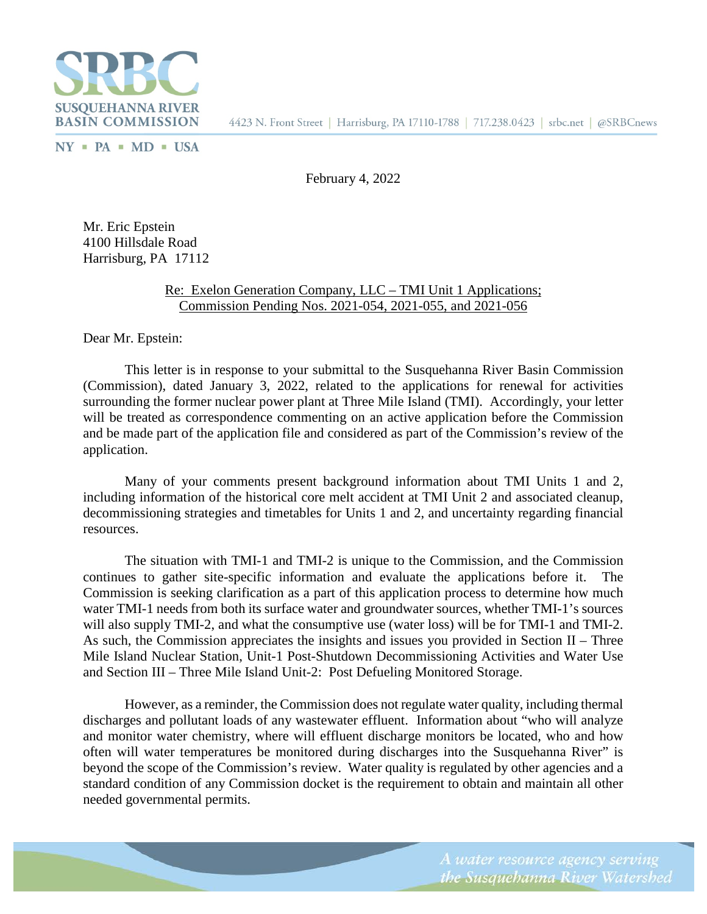

 $NY$  = PA = MD = USA

February 4, 2022

Mr. Eric Epstein 4100 Hillsdale Road Harrisburg, PA 17112

## Re: Exelon Generation Company, LLC – TMI Unit 1 Applications; Commission Pending Nos. 2021-054, 2021-055, and 2021-056

Dear Mr. Epstein:

This letter is in response to your submittal to the Susquehanna River Basin Commission (Commission), dated January 3, 2022, related to the applications for renewal for activities surrounding the former nuclear power plant at Three Mile Island (TMI). Accordingly, your letter will be treated as correspondence commenting on an active application before the Commission and be made part of the application file and considered as part of the Commission's review of the application.

Many of your comments present background information about TMI Units 1 and 2, including information of the historical core melt accident at TMI Unit 2 and associated cleanup, decommissioning strategies and timetables for Units 1 and 2, and uncertainty regarding financial resources.

The situation with TMI-1 and TMI-2 is unique to the Commission, and the Commission continues to gather site-specific information and evaluate the applications before it. Commission is seeking clarification as a part of this application process to determine how much water TMI-1 needs from both its surface water and groundwater sources, whether TMI-1's sources will also supply TMI-2, and what the consumptive use (water loss) will be for TMI-1 and TMI-2. As such, the Commission appreciates the insights and issues you provided in Section II – Three Mile Island Nuclear Station, Unit-1 Post-Shutdown Decommissioning Activities and Water Use and Section III – Three Mile Island Unit-2: Post Defueling Monitored Storage.

However, as a reminder, the Commission does not regulate water quality, including thermal discharges and pollutant loads of any wastewater effluent. Information about "who will analyze and monitor water chemistry, where will effluent discharge monitors be located, who and how often will water temperatures be monitored during discharges into the Susquehanna River" is beyond the scope of the Commission's review. Water quality is regulated by other agencies and a standard condition of any Commission docket is the requirement to obtain and maintain all other needed governmental permits.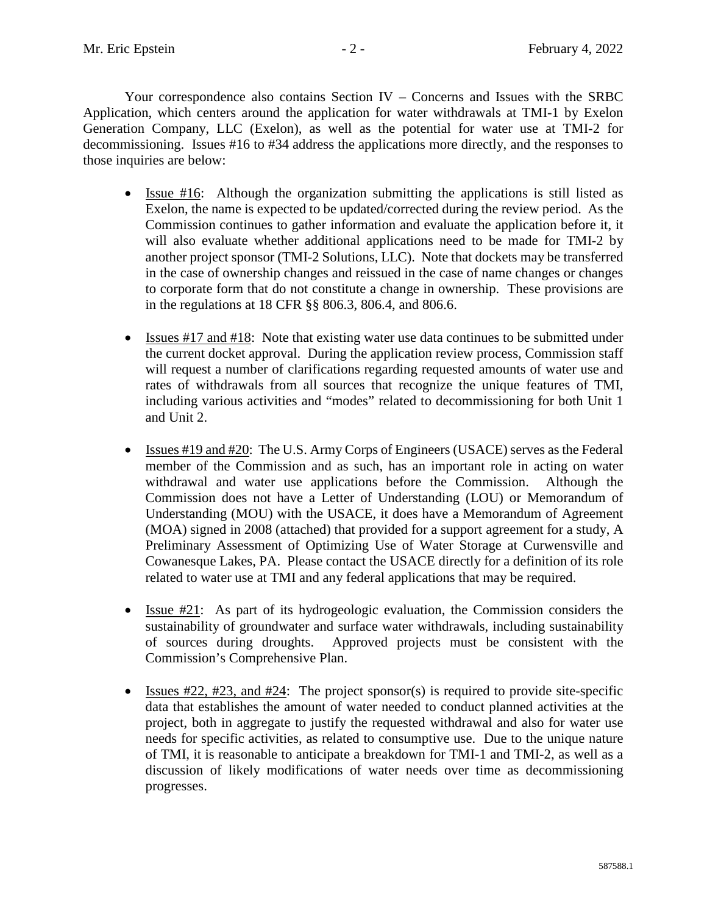Your correspondence also contains Section IV – Concerns and Issues with the SRBC Application, which centers around the application for water withdrawals at TMI-1 by Exelon Generation Company, LLC (Exelon), as well as the potential for water use at TMI-2 for decommissioning. Issues #16 to #34 address the applications more directly, and the responses to those inquiries are below:

- Issue #16: Although the organization submitting the applications is still listed as Exelon, the name is expected to be updated/corrected during the review period. As the Commission continues to gather information and evaluate the application before it, it will also evaluate whether additional applications need to be made for TMI-2 by another project sponsor (TMI-2 Solutions, LLC). Note that dockets may be transferred in the case of ownership changes and reissued in the case of name changes or changes to corporate form that do not constitute a change in ownership. These provisions are in the regulations at 18 CFR §§ 806.3, 806.4, and 806.6.
- Issues #17 and #18: Note that existing water use data continues to be submitted under the current docket approval. During the application review process, Commission staff will request a number of clarifications regarding requested amounts of water use and rates of withdrawals from all sources that recognize the unique features of TMI, including various activities and "modes" related to decommissioning for both Unit 1 and Unit 2.
- Issues #19 and #20: The U.S. Army Corps of Engineers (USACE) serves as the Federal member of the Commission and as such, has an important role in acting on water withdrawal and water use applications before the Commission. Although the Commission does not have a Letter of Understanding (LOU) or Memorandum of Understanding (MOU) with the USACE, it does have a Memorandum of Agreement (MOA) signed in 2008 (attached) that provided for a support agreement for a study, A Preliminary Assessment of Optimizing Use of Water Storage at Curwensville and Cowanesque Lakes, PA. Please contact the USACE directly for a definition of its role related to water use at TMI and any federal applications that may be required.
- Issue #21: As part of its hydrogeologic evaluation, the Commission considers the sustainability of groundwater and surface water withdrawals, including sustainability of sources during droughts. Approved projects must be consistent with the Commission's Comprehensive Plan.
- Issues  $\#22$ ,  $\#23$ , and  $\#24$ : The project sponsor(s) is required to provide site-specific data that establishes the amount of water needed to conduct planned activities at the project, both in aggregate to justify the requested withdrawal and also for water use needs for specific activities, as related to consumptive use. Due to the unique nature of TMI, it is reasonable to anticipate a breakdown for TMI-1 and TMI-2, as well as a discussion of likely modifications of water needs over time as decommissioning progresses.